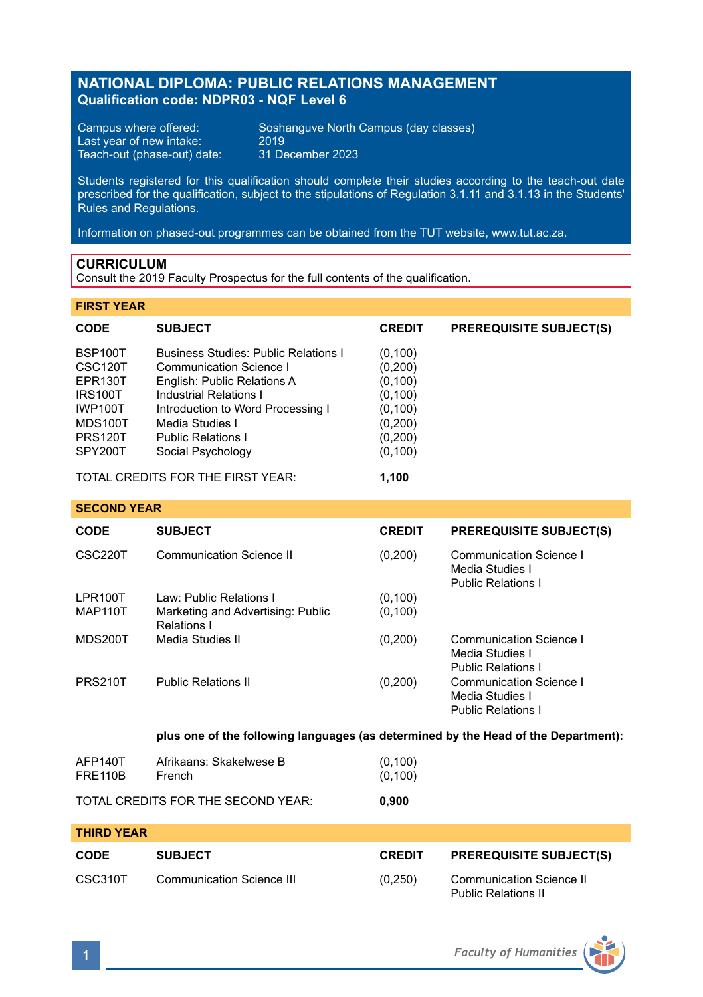# **NATIONAL DIPLOMA: PUBLIC RELATIONS MANAGEMENT Qualification code: NDPR03 - NQF Level 6**

Last year of new intake: 2019<br>Teach-out (phase-out) date: 31 December 2023 Teach-out (phase-out) date:

Campus where offered: Soshanguve North Campus (day classes)<br>Last year of new intake: 2019

Students registered for this qualification should complete their studies according to the teach-out date prescribed for the qualification, subject to the stipulations of Regulation 3.1.11 and 3.1.13 in the Students' Rules and Regulations.

Information on phased-out programmes can be obtained from the TUT website, www.tut.ac.za.

# **CURRICULUM**

Consult the 2019 Faculty Prospectus for the full contents of the qualification.

# **FIRST YEAR**

| <b>CODE</b>          | <b>SUBJECT</b>                              | <b>CREDIT</b> | <b>PREREQUISITE SUBJECT(S)</b> |
|----------------------|---------------------------------------------|---------------|--------------------------------|
| BSP100T              | <b>Business Studies: Public Relations I</b> | (0, 100)      |                                |
| CSC <sub>120</sub> T | Communication Science I                     | (0, 200)      |                                |
| EPR130T              | English: Public Relations A                 | (0, 100)      |                                |
| <b>IRS100T</b>       | Industrial Relations I                      | (0, 100)      |                                |
| <b>IWP100T</b>       | Introduction to Word Processing I           | (0, 100)      |                                |
| MDS100T              | Media Studies I                             | (0,200)       |                                |
| <b>PRS120T</b>       | <b>Public Relations I</b>                   | (0,200)       |                                |
| SPY200T              | Social Psychology                           | (0, 100)      |                                |

TOTAL CREDITS FOR THE FIRST YEAR: **1,100**

### **SECOND YEAR**

| <b>CODE</b>    | <b>SUBJECT</b>                                   | <b>CREDIT</b> | <b>PREREQUISITE SUBJECT(S)</b>                                          |
|----------------|--------------------------------------------------|---------------|-------------------------------------------------------------------------|
| CSC220T        | Communication Science II                         | (0,200)       | Communication Science I<br>Media Studies I<br><b>Public Relations I</b> |
| LPR100T        | Law: Public Relations I                          | (0, 100)      |                                                                         |
| <b>MAP110T</b> | Marketing and Advertising: Public<br>Relations I | (0, 100)      |                                                                         |
| MDS200T        | Media Studies II                                 | (0,200)       | Communication Science I<br>Media Studies I<br><b>Public Relations I</b> |
| <b>PRS210T</b> | <b>Public Relations II</b>                       | (0,200)       | Communication Science I<br>Media Studies I<br><b>Public Relations I</b> |

**plus one of the following languages (as determined by the Head of the Department):**

| AFP140T | Afrikaans: Skakelwese B | (0,100)  |
|---------|-------------------------|----------|
| FRE110B | French                  | (0, 100) |

TOTAL CREDITS FOR THE SECOND YEAR: **0,900**

| <b>THIRD YEAR</b> |                           |               |                                                        |
|-------------------|---------------------------|---------------|--------------------------------------------------------|
| <b>CODE</b>       | <b>SUBJECT</b>            | <b>CREDIT</b> | <b>PREREQUISITE SUBJECT(S)</b>                         |
| CSC310T           | Communication Science III | (0.250)       | Communication Science II<br><b>Public Relations II</b> |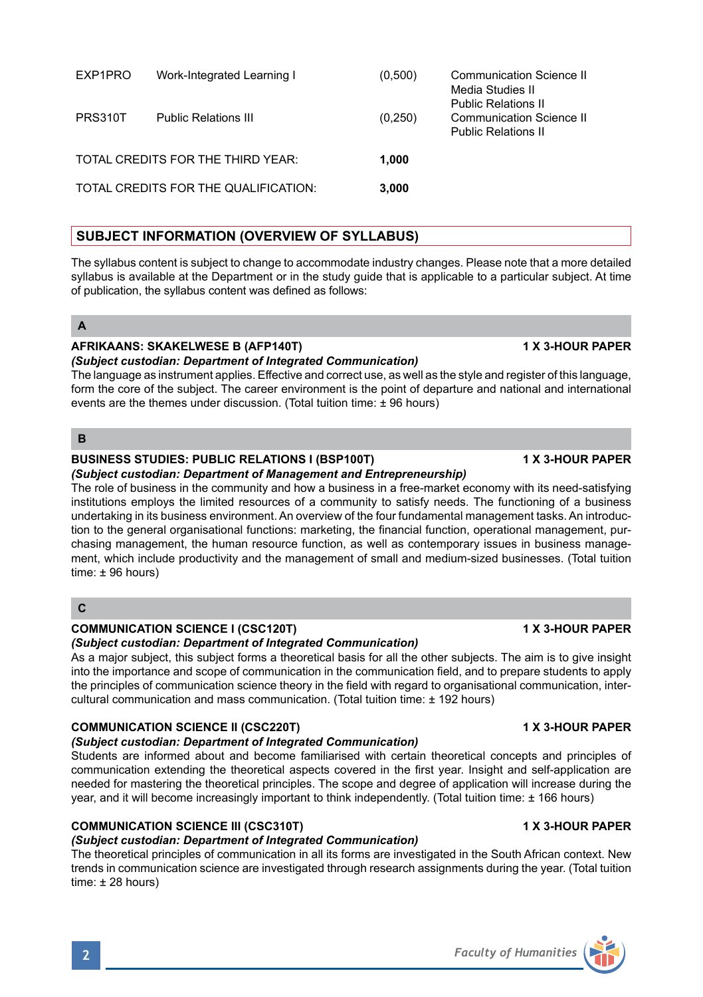| EXP1PRO        | Work-Integrated Learning I           | (0.500) | Communication Science II<br>Media Studies II<br><b>Public Relations II</b> |
|----------------|--------------------------------------|---------|----------------------------------------------------------------------------|
| <b>PRS310T</b> | <b>Public Relations III</b>          | (0.250) | <b>Communication Science II</b><br><b>Public Relations II</b>              |
|                | TOTAL CREDITS FOR THE THIRD YEAR:    | 1.000   |                                                                            |
|                | TOTAL CREDITS FOR THE QUALIFICATION: | 3.000   |                                                                            |

# **SUBJECT INFORMATION (OVERVIEW OF SYLLABUS)**

The syllabus content is subject to change to accommodate industry changes. Please note that a more detailed syllabus is available at the Department or in the study guide that is applicable to a particular subject. At time of publication, the syllabus content was defined as follows:

# **A**

# **AFRIKAANS: SKAKELWESE B (AFP140T) 1 X 3-HOUR PAPER**

*(Subject custodian: Department of Integrated Communication)* 

The language as instrument applies. Effective and correct use, as well as the style and register of this language, form the core of the subject. The career environment is the point of departure and national and international events are the themes under discussion. (Total tuition time: ± 96 hours)

# **B**

# **BUSINESS STUDIES: PUBLIC RELATIONS I (BSP100T) 1 X 3-HOUR PAPER**

*(Subject custodian: Department of Management and Entrepreneurship)* The role of business in the community and how a business in a free-market economy with its need-satisfying institutions employs the limited resources of a community to satisfy needs. The functioning of a business undertaking in its business environment. An overview of the four fundamental management tasks. An introduction to the general organisational functions: marketing, the financial function, operational management, purchasing management, the human resource function, as well as contemporary issues in business management, which include productivity and the management of small and medium-sized businesses. (Total tuition time: ± 96 hours)

# **C**

# **COMMUNICATION SCIENCE I (CSC120T) 1 X 3-HOUR PAPER**

# *(Subject custodian: Department of Integrated Communication)*

As a major subject, this subject forms a theoretical basis for all the other subjects. The aim is to give insight into the importance and scope of communication in the communication field, and to prepare students to apply the principles of communication science theory in the field with regard to organisational communication, intercultural communication and mass communication. (Total tuition time: ± 192 hours)

# **COMMUNICATION SCIENCE II (CSC220T) 1 X 3-HOUR PAPER**

# *(Subject custodian: Department of Integrated Communication)*

Students are informed about and become familiarised with certain theoretical concepts and principles of communication extending the theoretical aspects covered in the first year. Insight and self-application are needed for mastering the theoretical principles. The scope and degree of application will increase during the year, and it will become increasingly important to think independently. (Total tuition time: ± 166 hours)

# **COMMUNICATION SCIENCE III (CSC310T) 1 X 3-HOUR PAPER**

# *(Subject custodian: Department of Integrated Communication)*

The theoretical principles of communication in all its forms are investigated in the South African context. New trends in communication science are investigated through research assignments during the year. (Total tuition time: ± 28 hours)

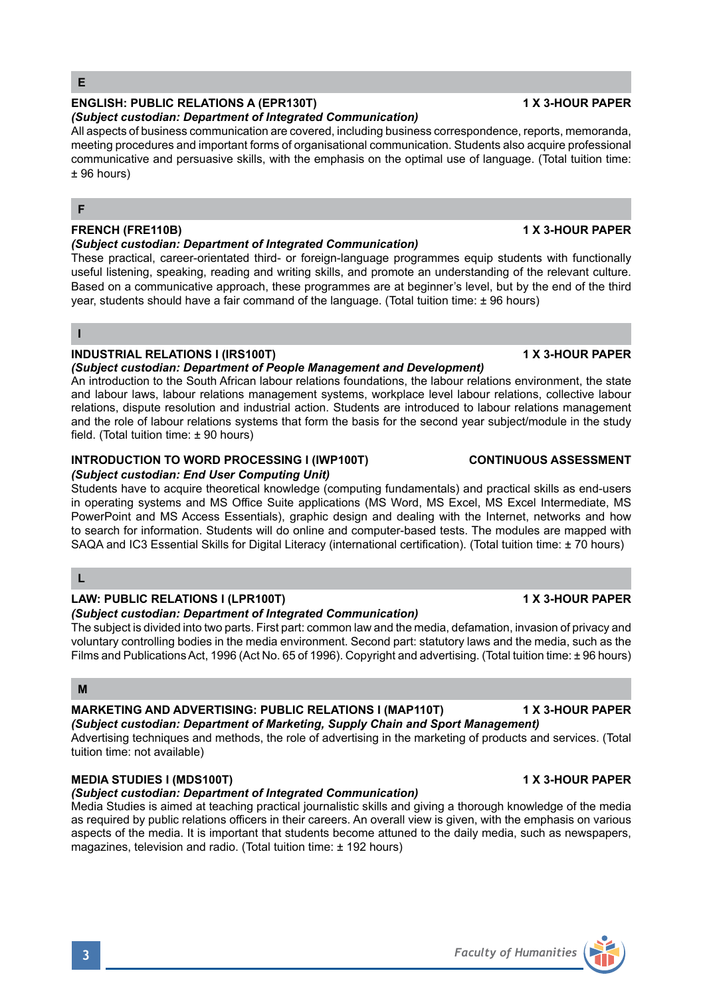# **ENGLISH: PUBLIC RELATIONS A (EPR130T) 1 X 3-HOUR PAPER**

# *(Subject custodian: Department of Integrated Communication)*

All aspects of business communication are covered, including business correspondence, reports, memoranda, meeting procedures and important forms of organisational communication. Students also acquire professional communicative and persuasive skills, with the emphasis on the optimal use of language. (Total tuition time: ± 96 hours)

# **F**

# **FRENCH (FRE110B) 1 X 3-HOUR PAPER**

### *(Subject custodian: Department of Integrated Communication)*

These practical, career-orientated third- or foreign-language programmes equip students with functionally useful listening, speaking, reading and writing skills, and promote an understanding of the relevant culture. Based on a communicative approach, these programmes are at beginner's level, but by the end of the third year, students should have a fair command of the language. (Total tuition time: ± 96 hours)

**I**

# **INDUSTRIAL RELATIONS I (IRS100T) 1 X 3-HOUR PAPER**

### *(Subject custodian: Department of People Management and Development)*

An introduction to the South African labour relations foundations, the labour relations environment, the state and labour laws, labour relations management systems, workplace level labour relations, collective labour relations, dispute resolution and industrial action. Students are introduced to labour relations management and the role of labour relations systems that form the basis for the second year subject/module in the study field. (Total tuition time: ± 90 hours)

### **INTRODUCTION TO WORD PROCESSING I (IWP100T) CONTINUOUS ASSESSMENT** *(Subject custodian: End User Computing Unit)*

Students have to acquire theoretical knowledge (computing fundamentals) and practical skills as end-users in operating systems and MS Office Suite applications (MS Word, MS Excel, MS Excel Intermediate, MS PowerPoint and MS Access Essentials), graphic design and dealing with the Internet, networks and how to search for information. Students will do online and computer-based tests. The modules are mapped with SAQA and IC3 Essential Skills for Digital Literacy (international certification). (Total tuition time: ± 70 hours)

# **L**

# **LAW: PUBLIC RELATIONS I (LPR100T) 1 X 3-HOUR PAPER**

# *(Subject custodian: Department of Integrated Communication)*

The subject is divided into two parts. First part: common law and the media, defamation, invasion of privacy and voluntary controlling bodies in the media environment. Second part: statutory laws and the media, such as the Films and Publications Act, 1996 (Act No. 65 of 1996). Copyright and advertising. (Total tuition time: ± 96 hours)

# **M**

### **MARKETING AND ADVERTISING: PUBLIC RELATIONS I (MAP110T) 1 X 3-HOUR PAPER** *(Subject custodian: Department of Marketing, Supply Chain and Sport Management)*

Advertising techniques and methods, the role of advertising in the marketing of products and services. (Total tuition time: not available)

# **MEDIA STUDIES I (MDS100T) 1 X 3-HOUR PAPER**

# *(Subject custodian: Department of Integrated Communication)*

Media Studies is aimed at teaching practical journalistic skills and giving a thorough knowledge of the media as required by public relations officers in their careers. An overall view is given, with the emphasis on various aspects of the media. It is important that students become attuned to the daily media, such as newspapers, magazines, television and radio. (Total tuition time: ± 192 hours)